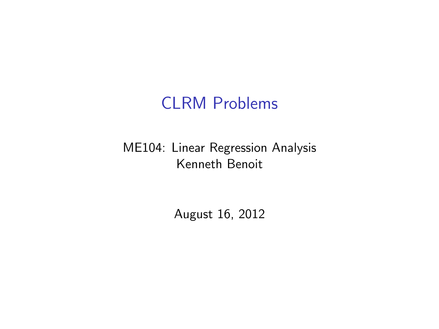## CLRM Problems

#### ME104: Linear Regression Analysis Kenneth Benoit

August 16, 2012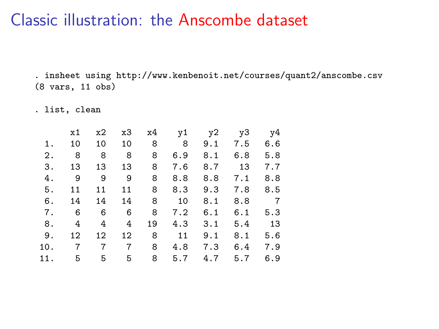. insheet using http://www.kenbenoit.net/courses/quant2/anscombe.csv (8 vars, 11 obs)

. list, clean

|     | x1                  |   |       |         | x2 x3 x4 y1 y2 y3 y4 |                         |             |                |
|-----|---------------------|---|-------|---------|----------------------|-------------------------|-------------|----------------|
| 1.  | 10                  |   |       |         | 10 10 8 8 9.1 7.5    |                         |             | 6.6            |
|     | 2. 8 8 8 8          |   |       |         |                      | $6.9$ $8.1$ $6.8$ $5.8$ |             |                |
|     | 3.13                |   |       | 13 13 8 |                      | 7.6 8.7 13              |             | 7.7            |
| 4.  | $9 \quad 9 \quad 9$ |   |       | 8       |                      | 8.8 8.8 7.1             |             | 8.8            |
|     | 5. 11               |   | 11 11 | 8       | 8.3                  |                         | $9.3$ $7.8$ | 8.5            |
|     | 6. 14 14 14 8       |   |       |         | 10                   | 8.1                     |             | 8.8 7          |
|     |                     |   |       |         | 7. 6 6 6 8 7.2 6.1   |                         |             | $6.1\quad 5.3$ |
|     | 8. 4 4 4            |   |       | 19      |                      | $4.3$ $3.1$             | 5.4 13      |                |
|     |                     |   |       |         | 9. 12 12 12 8 11     | 9.1                     | 8.1         | 5.6            |
|     | 10. 7 7 7 8         |   |       |         |                      | 4.8 7.3                 |             | 6.4 7.9        |
| 11. | 5                   | 5 | 5     | 8       | 5.7                  | 4.7                     | 5.7         | 6.9            |
|     |                     |   |       |         |                      |                         |             |                |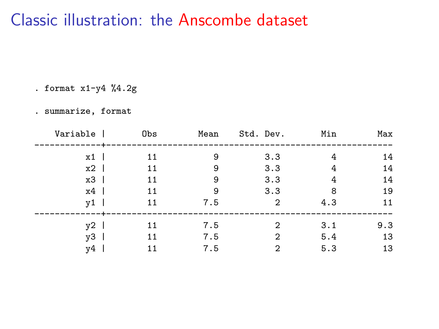. format  $x1-y4$  %4.2g

. summarize, format

| Variable | Obs | Mean | Std. Dev.      | Min | Max |
|----------|-----|------|----------------|-----|-----|
| x1       | 11  | 9    | 3.3            | 4   | 14  |
| $x2$     | 11  | 9    | 3.3            | 4   | 14  |
| $x3$     | 11  | 9    | 3.3            | 4   | 14  |
| $x4$     | 11  | 9    | 3.3            | 8   | 19  |
| ν1       | 11  | 7.5  | $\overline{2}$ | 4.3 | 11  |
| ν2       | 11  | 7.5  | 2              | 3.1 | 9.3 |
| ν3       | 11  | 7.5  | 2              | 5.4 | 13  |
| ν4       | 11  | 7.5  | $\overline{2}$ | 5.3 | 13  |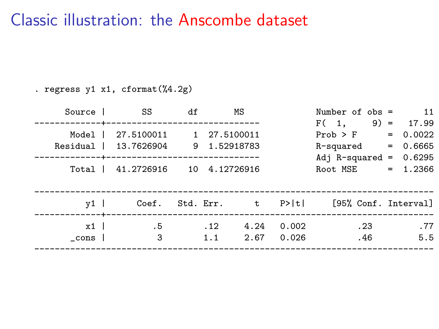. regress y1 x1, cformat(%4.2g)

| $\overline{11}$ | Number of $obs =$                            |       | ΜS   |     | df | SS <sup>3</sup>                    | Source 1     |
|-----------------|----------------------------------------------|-------|------|-----|----|------------------------------------|--------------|
| $9) = 17.99$    | F(1,                                         |       |      |     |    |                                    |              |
| $= 0.0022$      | Prob > F                                     |       |      |     |    | 27.5100011 1 27.5100011            | Model        |
|                 | $R$ -squared = $0.6665$                      |       |      |     |    | Residual   13.7626904 9 1.52918783 |              |
|                 | Adj R-squared = $0.6295$                     |       |      |     |    |                                    |              |
|                 | Root MSE = $1.2366$                          |       |      |     |    | Total   41.2726916 10 4.12726916   |              |
|                 |                                              |       |      |     |    |                                    |              |
|                 |                                              |       |      |     |    |                                    |              |
|                 | Coef. Std. Err. t P> t  [95% Conf. Interval] |       |      |     |    |                                    | $v1$ $\vert$ |
| .77             | .23                                          | 0.002 | 4.24 | .12 |    | .5                                 | x1           |
| 5.5             | .46                                          | 0.026 | 2.67 | 1.1 |    | 3                                  |              |
|                 |                                              |       |      |     |    |                                    | cons l       |
|                 |                                              |       |      |     |    |                                    |              |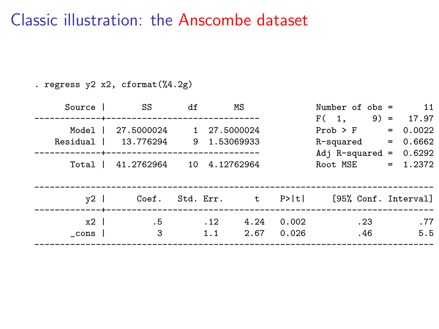. regress y2 x2, cformat(%4.2g)

| Source 1            | SS                                                                                                        | df |            | ΜS           |                | Number of $obs =$                                                     | $\overline{11}$                                        |
|---------------------|-----------------------------------------------------------------------------------------------------------|----|------------|--------------|----------------|-----------------------------------------------------------------------|--------------------------------------------------------|
| Model I<br>Residual | -----------------------------<br>27.5000024<br>13.776294 9 1.53069933<br>Total   41.2762964 10 4.12762964 |    |            | 1 27.5000024 |                | F(1,<br>Prob > F<br>R-squared<br>Adj R-squared = $0.6292$<br>Root MSE | $9) = 17.97$<br>$= 0.0022$<br>$= 0.6662$<br>$= 1.2372$ |
| $v2$ 1              |                                                                                                           |    |            |              |                | Coef. Std. Err. t P> t  [95% Conf. Interval]                          |                                                        |
| $x2$ l<br>cons l    | . 5<br>3                                                                                                  |    | .12<br>1.1 | 4.24<br>2.67 | 0.002<br>0.026 | .23<br>.46                                                            | .77<br>5.5                                             |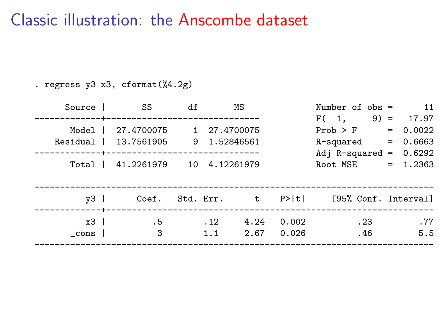. regress y3 x3, cformat(%4.2g)

| Source 1         | SS                                                                                                                     | df |            | ΜS           |                | Number of $obs =$                                                     | $\overline{11}$                                        |
|------------------|------------------------------------------------------------------------------------------------------------------------|----|------------|--------------|----------------|-----------------------------------------------------------------------|--------------------------------------------------------|
| Model I          | ------------------------------<br>27.4700075<br>Residual   13.7561905 9 1.52846561<br>Total   41.2261979 10 4.12261979 |    |            | 1 27,4700075 |                | F(1,<br>Prob > F<br>R-squared<br>Adj R-squared = $0.6292$<br>Root MSE | $9) = 17.97$<br>$= 0.0022$<br>$= 0.6663$<br>$= 1.2363$ |
| $v3$             |                                                                                                                        |    |            |              |                | Coef. Std. Err. t P> t  [95% Conf. Interval]                          |                                                        |
| $x3$ l<br>cons l | . 5<br>3                                                                                                               |    | .12<br>1.1 | 4.24<br>2.67 | 0.002<br>0.026 | .23<br>.46                                                            | .77<br>5.5                                             |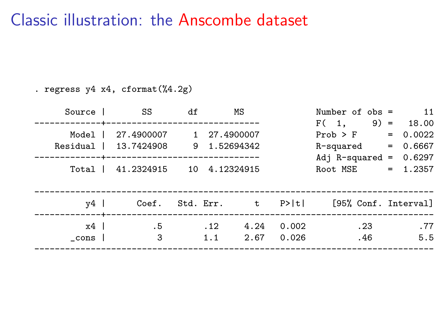. regress y4 x4, cformat(%4.2g)

| $\overline{11}$<br>Number of $obs =$                                                                                            |                | ΜS           |            | df | SS S                                                                                              | Source 1             |
|---------------------------------------------------------------------------------------------------------------------------------|----------------|--------------|------------|----|---------------------------------------------------------------------------------------------------|----------------------|
| $9) = 18.00$<br>F(1,<br>$= 0.0022$<br>Prob > F<br>$= 0.6667$<br>R-squared<br>Adj R-squared = $0.6297$<br>$= 1.2357$<br>Root MSE |                |              |            |    | 27.4900007 1 27.4900007<br>Residual   13.7424908 9 1.52694342<br>Total   41.2324915 10 4.12324915 | Model                |
| Coef. Std. Err. t P> t  [95% Conf. Interval]                                                                                    |                |              |            |    |                                                                                                   | v4 l<br>----------+- |
| .77<br>.23<br>5.5<br>.46                                                                                                        | 0.002<br>0.026 | 4.24<br>2.67 | .12<br>1.1 |    | . 5<br>3                                                                                          | $x4$  <br>cons l     |
|                                                                                                                                 |                |              |            |    |                                                                                                   |                      |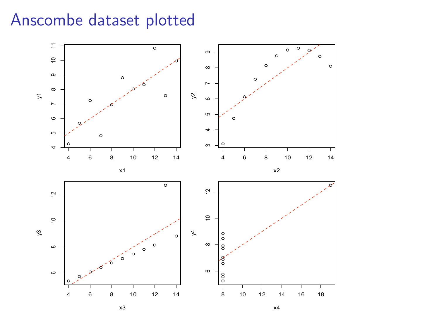### Anscombe dataset plotted

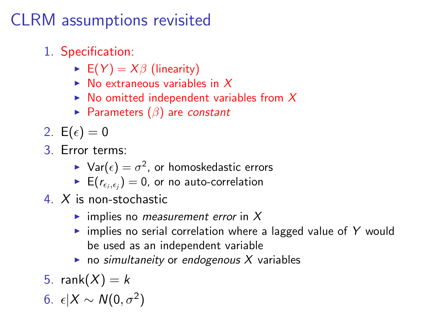# CLRM assumptions revisited

- 1. Specification:
	- $\blacktriangleright$  E(Y) =  $X\beta$  (linearity)
	- $\triangleright$  No extraneous variables in X
	- $\triangleright$  No omitted independent variables from X
	- Parameters  $(\beta)$  are constant
- 2.  $E(\epsilon) = 0$
- 3. Error terms:
	- $\blacktriangleright$   $\mathsf{Var}(\epsilon) = \sigma^2$ , or homoskedastic errors
	- $\blacktriangleright$   $\, \mathsf{E} (r_{\epsilon_i, \epsilon_j}) = 0,$  or no auto-correlation
- 4. X is non-stochastic
	- $\blacktriangleright$  implies no *measurement error* in X
	- $\triangleright$  implies no serial correlation where a lagged value of Y would be used as an independent variable
	- $\triangleright$  no simultaneity or endogenous X variables
- 5. rank $(X) = k$
- 6.  $\epsilon |X \sim N(0, \sigma^2)$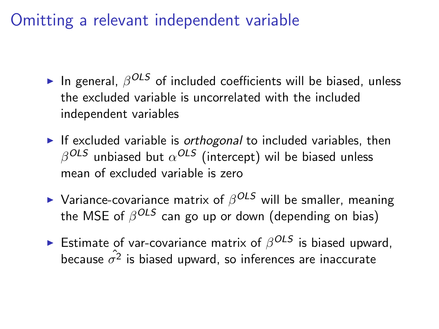Omitting a relevant independent variable

- $\blacktriangleright$  In general,  $\beta^{OLS}$  of included coefficients will be biased, unless the excluded variable is uncorrelated with the included independent variables
- If excluded variable is *orthogonal* to included variables, then  $\beta^\mathcal{OLS}$  unbiased but  $\alpha^\mathcal{OLS}$  (intercept) wil be biased unless mean of excluded variable is zero
- $\blacktriangleright$  Variance-covariance matrix of  $\beta^{OLS}$  will be smaller, meaning the MSE of  $\beta^{OLS}$  can go up or down (depending on bias)
- $\blacktriangleright$  Estimate of var-covariance matrix of  $\beta^{OLS}$  is biased upward, because  $\hat{\sigma^2}$  is biased upward, so inferences are inaccurate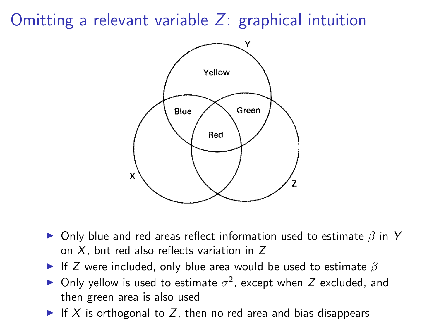Omitting a relevant variable Z: graphical intuition



- $\triangleright$  Only blue and red areas reflect information used to estimate  $\beta$  in Y on  $X$ , but red also reflects variation in  $Z$
- If Z were included, only blue area would be used to estimate  $\beta$
- ► Only yellow is used to estimate  $\sigma^2$ , except when Z excluded, and then green area is also used
- If X is orthogonal to Z, then no red area and bias disappears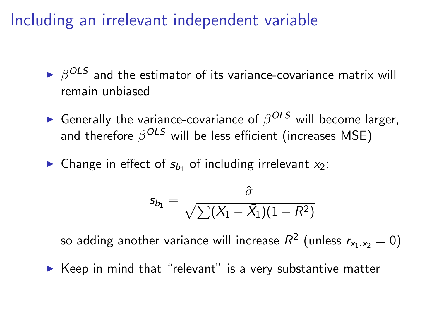Including an irrelevant independent variable

- $\blacktriangleright$   $\beta^{OLS}$  and the estimator of its variance-covariance matrix will remain unbiased
- ► Generally the variance-covariance of  $\beta^{OLS}$  will become larger, and therefore  $\beta^{OLS}$  will be less efficient (increases MSE)
- $\blacktriangleright$  Change in effect of  $s_{b_1}$  of including irrelevant  $x_2$ :

$$
s_{b_1}=\frac{\hat{\sigma}}{\sqrt{\sum(X_1-\bar{X_1})(1-R^2)}}
$$

so adding another variance will increase  $\mathit{R}^{2}$  (unless  $\mathit{r}_{x_{1},x_{2}}=0)$ 

 $\triangleright$  Keep in mind that "relevant" is a very substantive matter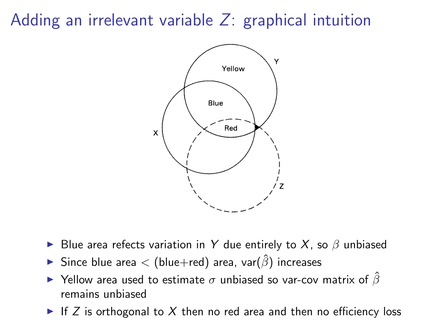# Adding an irrelevant variable Z: graphical intuition



- ► Blue area refects variation in Y due entirely to X, so  $\beta$  unbiased
- $\triangleright$  Since blue area < (blue+red) area, var $(\hat{\beta})$  increases
- $\blacktriangleright$  Yellow area used to estimate  $\sigma$  unbiased so var-cov matrix of  $\hat{\beta}$ remains unbiased
- If Z is orthogonal to X then no red area and then no efficiency loss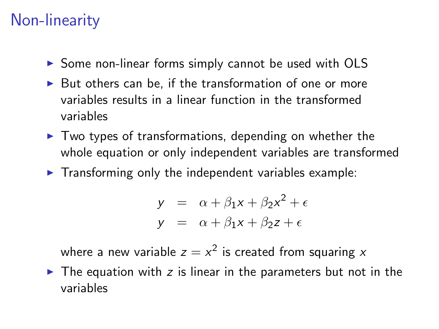# Non-linearity

- $\triangleright$  Some non-linear forms simply cannot be used with OLS
- $\triangleright$  But others can be, if the transformation of one or more variables results in a linear function in the transformed variables
- $\triangleright$  Two types of transformations, depending on whether the whole equation or only independent variables are transformed
- $\blacktriangleright$  Transforming only the independent variables example:

$$
y = \alpha + \beta_1 x + \beta_2 x^2 + \epsilon
$$
  

$$
y = \alpha + \beta_1 x + \beta_2 z + \epsilon
$$

where a new variable  $z=x^2$  is created from squaring  $x$ 

 $\triangleright$  The equation with z is linear in the parameters but not in the variables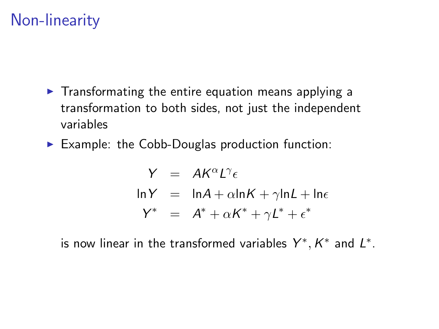# Non-linearity

- $\triangleright$  Transformating the entire equation means applying a transformation to both sides, not just the independent variables
- $\triangleright$  Example: the Cobb-Douglas production function:

$$
Y = AK^{\alpha}L^{\gamma}\epsilon
$$
  
\n
$$
\ln Y = \ln A + \alpha \ln K + \gamma \ln L + \ln \epsilon
$$
  
\n
$$
Y^* = A^* + \alpha K^* + \gamma L^* + \epsilon^*
$$

is now linear in the transformed variables  $Y^*, K^*$  and  $L^*$ .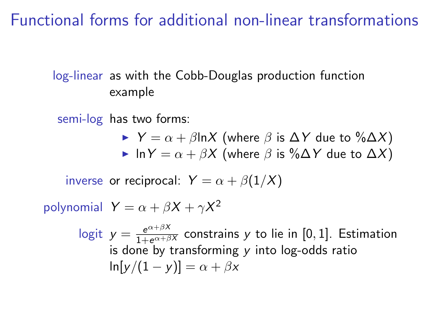Functional forms for additional non-linear transformations

#### log-linear as with the Cobb-Douglas production function example

semi-log has two forms:

 $\triangleright$  Y =  $\alpha + \beta$ lnX (where  $\beta$  is  $\Delta Y$  due to  $\% \Delta X$ ) In  $Y = \alpha + \beta X$  (where  $\beta$  is %∆Y due to  $\Delta X$ )

inverse or reciprocal:  $Y = \alpha + \beta(1/X)$ 

polynomial  $Y = \alpha + \beta X + \gamma X^2$ 

logit  $y = \frac{e^{\alpha+\beta X}}{1+e^{\alpha+\beta X}}$  constrains y to lie in [0, 1]. Estimation is done by transforming  $y$  into log-odds ratio  $\ln[y/(1-y)] = \alpha + \beta x$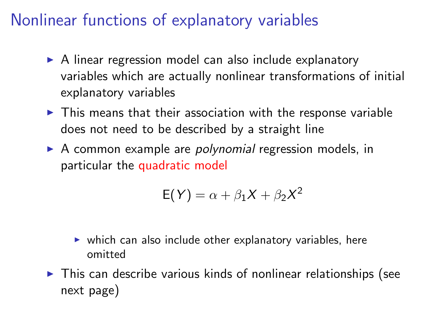# Nonlinear functions of explanatory variables

- $\triangleright$  A linear regression model can also include explanatory variables which are actually nonlinear transformations of initial explanatory variables
- $\triangleright$  This means that their association with the response variable does not need to be described by a straight line
- $\triangleright$  A common example are *polynomial* regression models, in particular the quadratic model

$$
E(Y) = \alpha + \beta_1 X + \beta_2 X^2
$$

- $\triangleright$  which can also include other explanatory variables, here omitted
- $\triangleright$  This can describe various kinds of nonlinear relationships (see next page)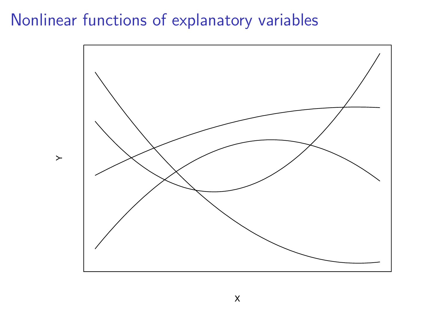#### Nonlinear functions of explanatory variables

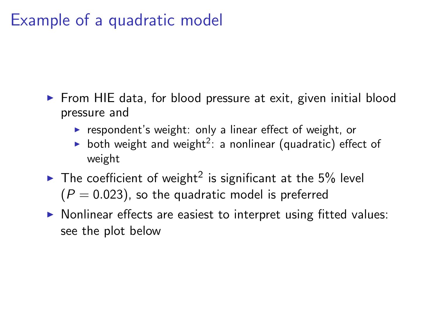# Example of a quadratic model

- $\triangleright$  From HIE data, for blood pressure at exit, given initial blood pressure and
	- $\triangleright$  respondent's weight: only a linear effect of weight, or
	- both weight and weight<sup>2</sup>: a nonlinear (quadratic) effect of weight
- $\blacktriangleright$  The coefficient of weight<sup>2</sup> is significant at the 5% level  $(P = 0.023)$ , so the quadratic model is preferred
- $\triangleright$  Nonlinear effects are easiest to interpret using fitted values: see the plot below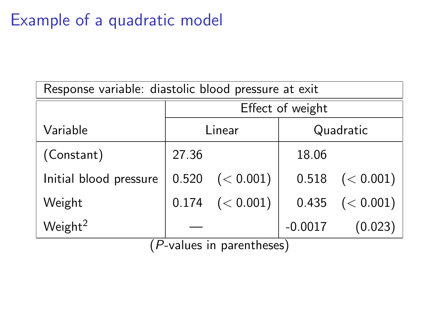# Example of a quadratic model

| Response variable: diastolic blood pressure at exit |       |                              |                  |                         |  |  |  |
|-----------------------------------------------------|-------|------------------------------|------------------|-------------------------|--|--|--|
|                                                     |       |                              | Effect of weight |                         |  |  |  |
| Variable                                            |       | Linear                       | Quadratic        |                         |  |  |  |
| (Constant)                                          | 27.36 |                              | 18.06            |                         |  |  |  |
| Initial blood pressure                              | 0.520 | (< 0.001)                    |                  | $0.518 \quad (< 0.001)$ |  |  |  |
| Weight                                              | 0.174 | (< 0.001)                    | 0.435            | (< 0.001)               |  |  |  |
| Weight <sup>2</sup>                                 |       | $(D,$ ualuga in naranthocac) | $-0.0017$        | (0.023)                 |  |  |  |

(P-values in parentheses)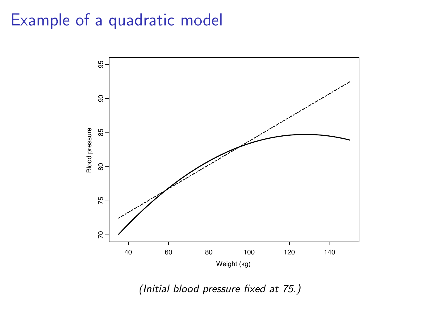## Example of a quadratic model



(Initial blood pressure fixed at 75.)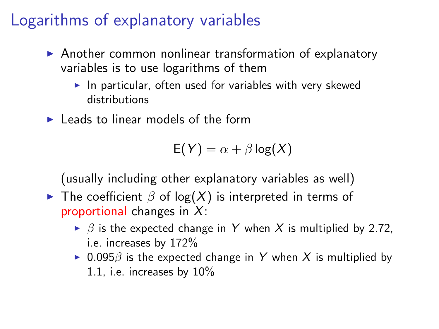# Logarithms of explanatory variables

- $\triangleright$  Another common nonlinear transformation of explanatory variables is to use logarithms of them
	- $\blacktriangleright$  In particular, often used for variables with very skewed distributions
- $\blacktriangleright$  Leads to linear models of the form

$$
E(Y) = \alpha + \beta \log(X)
$$

(usually including other explanatory variables as well)

- **I** The coefficient  $\beta$  of log(X) is interpreted in terms of proportional changes in  $X$ :
	- $\triangleright$   $\beta$  is the expected change in Y when X is multiplied by 2.72, i.e. increases by 172%
	- $\triangleright$  0.095 $\beta$  is the expected change in Y when X is multiplied by 1.1, i.e. increases by 10%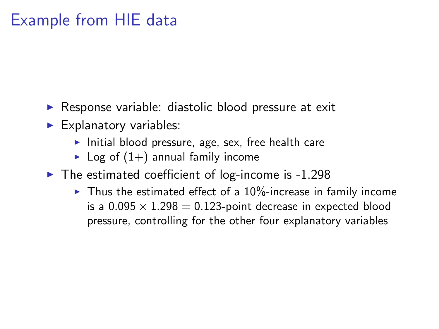# Example from HIE data

- $\triangleright$  Response variable: diastolic blood pressure at exit
- $\blacktriangleright$  Explanatory variables:
	- $\blacktriangleright$  Initial blood pressure, age, sex, free health care
	- $\blacktriangleright$  Log of  $(1+)$  annual family income
- $\blacktriangleright$  The estimated coefficient of log-income is -1.298
	- $\blacktriangleright$  Thus the estimated effect of a 10%-increase in family income is a  $0.095 \times 1.298 = 0.123$ -point decrease in expected blood pressure, controlling for the other four explanatory variables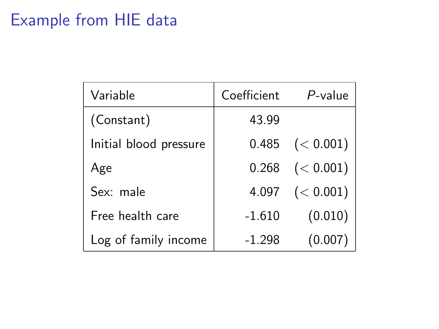# Example from HIE data

| Variable               | Coefficient | $P$ -value              |
|------------------------|-------------|-------------------------|
| (Constant)             | 43.99       |                         |
| Initial blood pressure |             | $0.485 \quad (< 0.001)$ |
| Age                    |             | $0.268$ $(< 0.001)$     |
| Sex: male              |             | 4.097 $(< 0.001)$       |
| Free health care       | $-1.610$    | (0.010)                 |
| Log of family income   | $-1.298$    | (0.007)                 |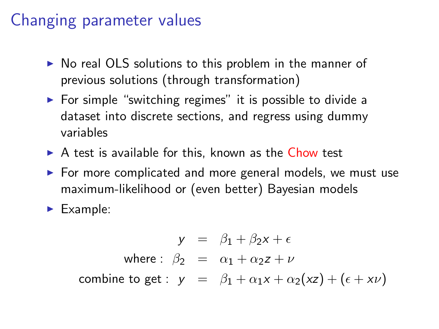#### Changing parameter values

- $\triangleright$  No real OLS solutions to this problem in the manner of previous solutions (through transformation)
- $\triangleright$  For simple "switching regimes" it is possible to divide a dataset into discrete sections, and regress using dummy variables
- $\triangleright$  A test is available for this, known as the Chow test
- $\triangleright$  For more complicated and more general models, we must use maximum-likelihood or (even better) Bayesian models
- $\blacktriangleright$  Example:

 $y = \beta_1 + \beta_2 x + \epsilon$ where :  $\beta_2 = \alpha_1 + \alpha_2 z + \nu$ combine to get :  $y = \beta_1 + \alpha_1 x + \alpha_2 (x^2) + (\epsilon + x^2)$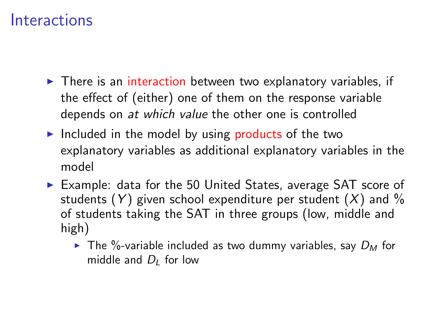- $\triangleright$  There is an interaction between two explanatory variables, if the effect of (either) one of them on the response variable depends on at which value the other one is controlled
- Included in the model by using products of the two explanatory variables as additional explanatory variables in the model
- $\triangleright$  Example: data for the 50 United States, average SAT score of students  $(Y)$  given school expenditure per student  $(X)$  and  $\%$ of students taking the SAT in three groups (low, middle and high)
	- $\triangleright$  The %-variable included as two dummy variables, say  $D_M$  for middle and  $D_l$  for low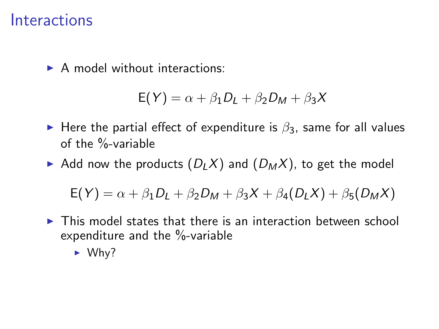$\triangleright$  A model without interactions:

$$
E(Y) = \alpha + \beta_1 D_L + \beta_2 D_M + \beta_3 X
$$

- $\triangleright$  Here the partial effect of expenditure is  $\beta_3$ , same for all values of the %-variable
- Add now the products  $(D_LX)$  and  $(D_MX)$ , to get the model

 $E(Y) = \alpha + \beta_1 D_1 + \beta_2 D_M + \beta_3 X + \beta_4 (D_1 X) + \beta_5 (D_M X)$ 

- $\triangleright$  This model states that there is an interaction between school expenditure and the %-variable
	- $\blacktriangleright$  Why?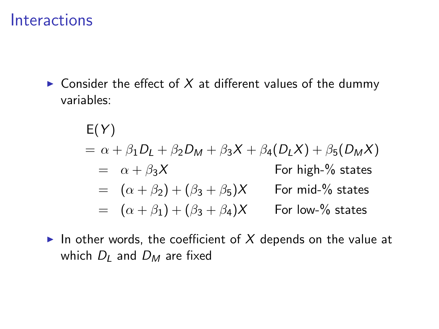$\triangleright$  Consider the effect of X at different values of the dummy variables:

$$
E(Y)
$$
  
=  $\alpha + \beta_1 D_L + \beta_2 D_M + \beta_3 X + \beta_4 (D_L X) + \beta_5 (D_M X)$   
=  $\alpha + \beta_3 X$  For high-% states  
=  $(\alpha + \beta_2) + (\beta_3 + \beta_5) X$  For mid-% states  
=  $(\alpha + \beta_1) + (\beta_3 + \beta_4) X$  For low-% states

In other words, the coefficient of X depends on the value at which  $D_l$  and  $D_M$  are fixed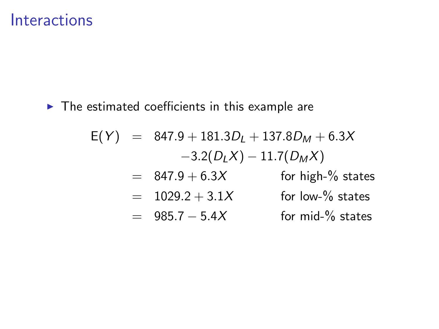$\blacktriangleright$  The estimated coefficients in this example are

$$
E(Y) = 847.9 + 181.3DL + 137.8DM + 6.3X
$$
  
\n
$$
-3.2(DLX) - 11.7(DMX)
$$
  
\n
$$
= 847.9 + 6.3X
$$
 for high-% states  
\n
$$
= 1029.2 + 3.1X
$$
 for low-% states  
\n
$$
= 985.7 - 5.4X
$$
 for mid-% states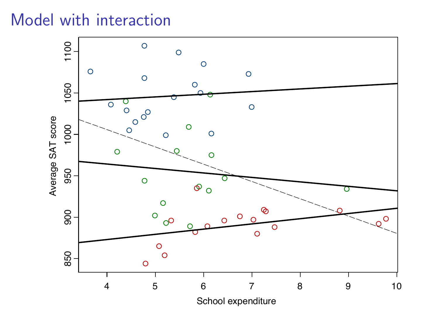# Model with interaction

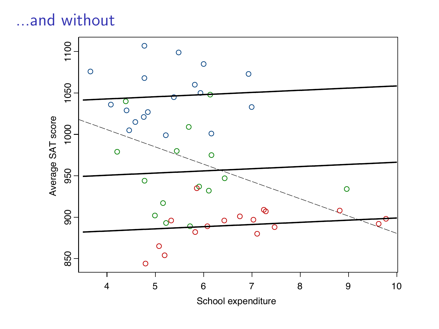# ...and without

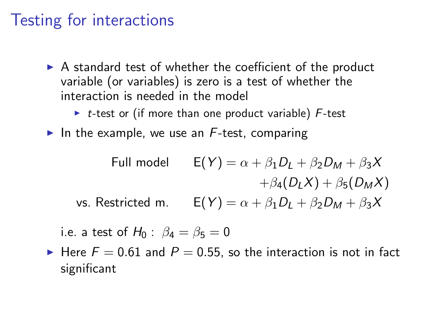#### Testing for interactions

- $\triangleright$  A standard test of whether the coefficient of the product variable (or variables) is zero is a test of whether the interaction is needed in the model
	- $\triangleright$  t-test or (if more than one product variable) F-test
- In the example, we use an  $F$ -test, comparing

Full model

\n
$$
E(Y) = \alpha + \beta_1 D_L + \beta_2 D_M + \beta_3 X
$$
\n
$$
+ \beta_4 (D_L X) + \beta_5 (D_M X)
$$
\nvs. Restricted m.

\n
$$
E(Y) = \alpha + \beta_1 D_L + \beta_2 D_M + \beta_3 X
$$

i.e. a test of  $H_0$  :  $\beta_4 = \beta_5 = 0$ 

Here  $F = 0.61$  and  $P = 0.55$ , so the interaction is not in fact significant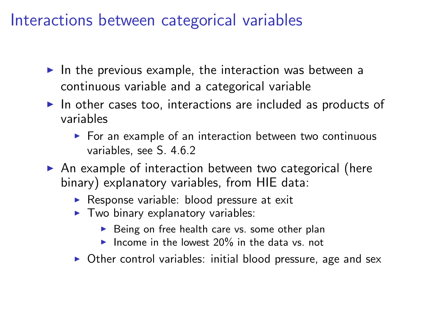#### Interactions between categorical variables

- In the previous example, the interaction was between a continuous variable and a categorical variable
- $\triangleright$  In other cases too, interactions are included as products of variables
	- $\triangleright$  For an example of an interaction between two continuous variables, see S. 4.6.2
- $\triangleright$  An example of interaction between two categorical (here binary) explanatory variables, from HIE data:
	- $\triangleright$  Response variable: blood pressure at exit
	- $\blacktriangleright$  Two binary explanatory variables:
		- $\triangleright$  Being on free health care vs. some other plan
		- Income in the lowest  $20\%$  in the data vs. not
	- $\triangleright$  Other control variables: initial blood pressure, age and sex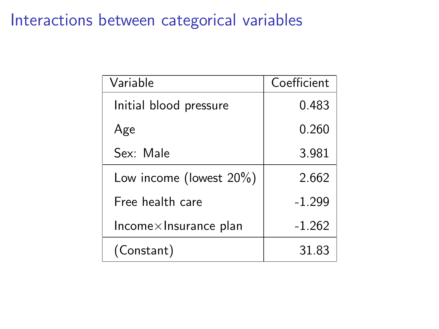## Interactions between categorical variables

| Variable                       | Coefficient |
|--------------------------------|-------------|
| Initial blood pressure         | 0.483       |
| Age                            | 0.260       |
| Sex: Male                      | 3.981       |
| Low income (lowest $20\%$ )    | 2.662       |
| Free health care               | $-1.299$    |
| $Income \times Insurance plan$ | $-1.262$    |
| (Constant)                     | 31.83       |